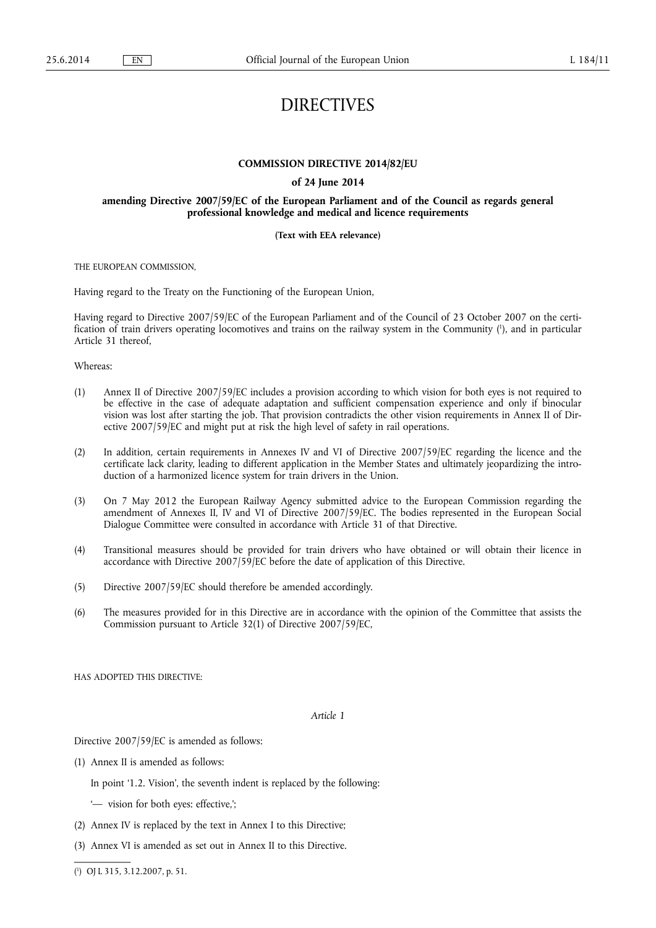# DIRECTIVES

# **COMMISSION DIRECTIVE 2014/82/EU**

# **of 24 June 2014**

# **amending Directive 2007/59/EC of the European Parliament and of the Council as regards general professional knowledge and medical and licence requirements**

# **(Text with EEA relevance)**

THE EUROPEAN COMMISSION,

Having regard to the Treaty on the Functioning of the European Union,

Having regard to Directive 2007/59/EC of the European Parliament and of the Council of 23 October 2007 on the certification of train drivers operating locomotives and trains on the railway system in the Community ( 1 ), and in particular Article 31 thereof,

Whereas:

- (1) Annex II of Directive 2007/59/EC includes a provision according to which vision for both eyes is not required to be effective in the case of adequate adaptation and sufficient compensation experience and only if binocular vision was lost after starting the job. That provision contradicts the other vision requirements in Annex II of Directive 2007/59/EC and might put at risk the high level of safety in rail operations.
- (2) In addition, certain requirements in Annexes IV and VI of Directive 2007/59/EC regarding the licence and the certificate lack clarity, leading to different application in the Member States and ultimately jeopardizing the introduction of a harmonized licence system for train drivers in the Union.
- (3) On 7 May 2012 the European Railway Agency submitted advice to the European Commission regarding the amendment of Annexes II, IV and VI of Directive 2007/59/EC. The bodies represented in the European Social Dialogue Committee were consulted in accordance with Article 31 of that Directive.
- (4) Transitional measures should be provided for train drivers who have obtained or will obtain their licence in accordance with Directive 2007/59/EC before the date of application of this Directive.
- (5) Directive 2007/59/EC should therefore be amended accordingly.
- (6) The measures provided for in this Directive are in accordance with the opinion of the Committee that assists the Commission pursuant to Article 32(1) of Directive 2007/59/EC,

HAS ADOPTED THIS DIRECTIVE:

*Article 1* 

Directive 2007/59/EC is amended as follows:

(1) Annex II is amended as follows:

In point '1.2. Vision', the seventh indent is replaced by the following:

- '— vision for both eyes: effective,';
- (2) Annex IV is replaced by the text in Annex I to this Directive;
- (3) Annex VI is amended as set out in Annex II to this Directive.

( 1 ) OJ L 315, 3.12.2007, p. 51.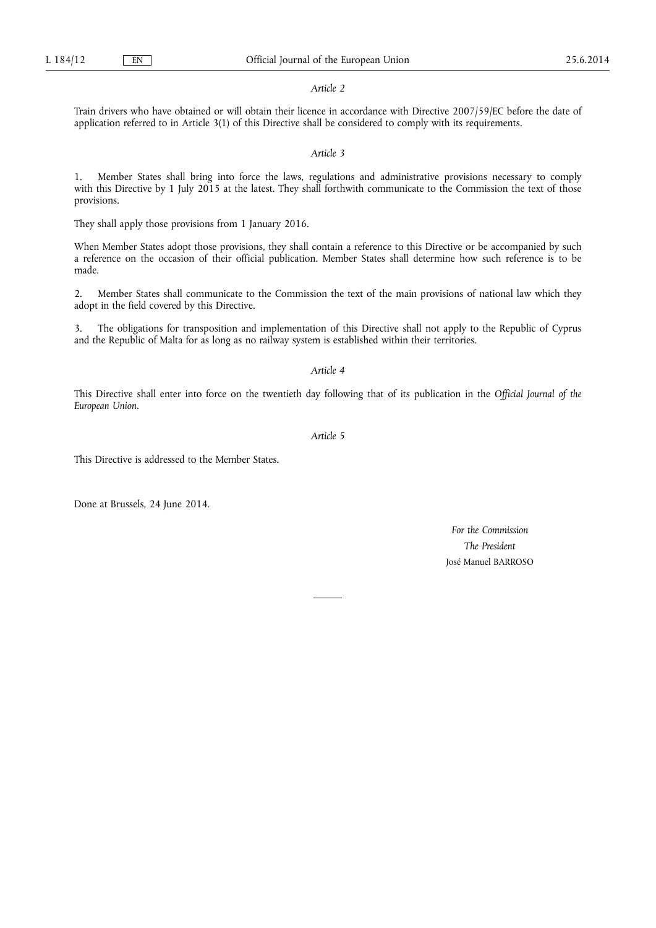#### *Article 2*

Train drivers who have obtained or will obtain their licence in accordance with Directive 2007/59/EC before the date of application referred to in Article 3(1) of this Directive shall be considered to comply with its requirements.

# *Article 3*

1. Member States shall bring into force the laws, regulations and administrative provisions necessary to comply with this Directive by 1 July 2015 at the latest. They shall forthwith communicate to the Commission the text of those provisions.

They shall apply those provisions from 1 January 2016.

When Member States adopt those provisions, they shall contain a reference to this Directive or be accompanied by such a reference on the occasion of their official publication. Member States shall determine how such reference is to be made.

2. Member States shall communicate to the Commission the text of the main provisions of national law which they adopt in the field covered by this Directive.

3. The obligations for transposition and implementation of this Directive shall not apply to the Republic of Cyprus and the Republic of Malta for as long as no railway system is established within their territories.

# *Article 4*

This Directive shall enter into force on the twentieth day following that of its publication in the *Official Journal of the European Union*.

*Article 5* 

This Directive is addressed to the Member States.

Done at Brussels, 24 June 2014.

*For the Commission The President*  José Manuel BARROSO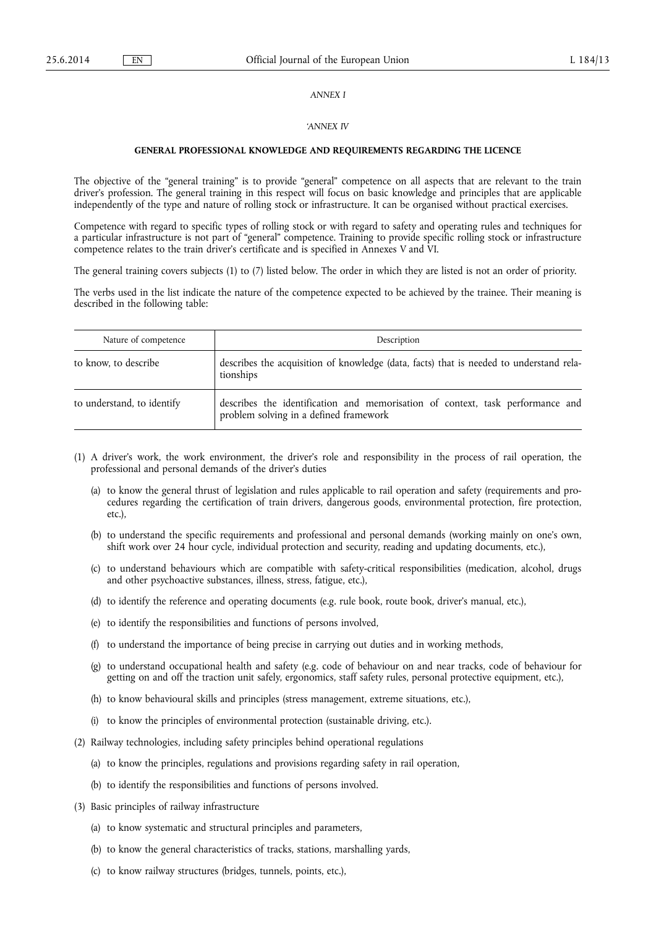#### *ANNEX I*

## *'ANNEX IV*

## **GENERAL PROFESSIONAL KNOWLEDGE AND REQUIREMENTS REGARDING THE LICENCE**

The objective of the "general training" is to provide "general" competence on all aspects that are relevant to the train driver's profession. The general training in this respect will focus on basic knowledge and principles that are applicable independently of the type and nature of rolling stock or infrastructure. It can be organised without practical exercises.

Competence with regard to specific types of rolling stock or with regard to safety and operating rules and techniques for a particular infrastructure is not part of "general" competence. Training to provide specific rolling stock or infrastructure competence relates to the train driver's certificate and is specified in Annexes V and VI.

The general training covers subjects (1) to (7) listed below. The order in which they are listed is not an order of priority.

The verbs used in the list indicate the nature of the competence expected to be achieved by the trainee. Their meaning is described in the following table:

| Nature of competence       | Description                                                                                                              |
|----------------------------|--------------------------------------------------------------------------------------------------------------------------|
| to know, to describe       | describes the acquisition of knowledge (data, facts) that is needed to understand rela-<br>tionships                     |
| to understand, to identify | describes the identification and memorisation of context, task performance and<br>problem solving in a defined framework |

- (1) A driver's work, the work environment, the driver's role and responsibility in the process of rail operation, the professional and personal demands of the driver's duties
	- (a) to know the general thrust of legislation and rules applicable to rail operation and safety (requirements and procedures regarding the certification of train drivers, dangerous goods, environmental protection, fire protection, etc.),
	- (b) to understand the specific requirements and professional and personal demands (working mainly on one's own, shift work over 24 hour cycle, individual protection and security, reading and updating documents, etc.),
	- (c) to understand behaviours which are compatible with safety-critical responsibilities (medication, alcohol, drugs and other psychoactive substances, illness, stress, fatigue, etc.),
	- (d) to identify the reference and operating documents (e.g. rule book, route book, driver's manual, etc.),
	- (e) to identify the responsibilities and functions of persons involved,
	- (f) to understand the importance of being precise in carrying out duties and in working methods,
	- (g) to understand occupational health and safety (e.g. code of behaviour on and near tracks, code of behaviour for getting on and off the traction unit safely, ergonomics, staff safety rules, personal protective equipment, etc.),
	- (h) to know behavioural skills and principles (stress management, extreme situations, etc.),
	- (i) to know the principles of environmental protection (sustainable driving, etc.).
- (2) Railway technologies, including safety principles behind operational regulations
	- (a) to know the principles, regulations and provisions regarding safety in rail operation,
	- (b) to identify the responsibilities and functions of persons involved.
- (3) Basic principles of railway infrastructure
	- (a) to know systematic and structural principles and parameters,
	- (b) to know the general characteristics of tracks, stations, marshalling yards,
	- (c) to know railway structures (bridges, tunnels, points, etc.),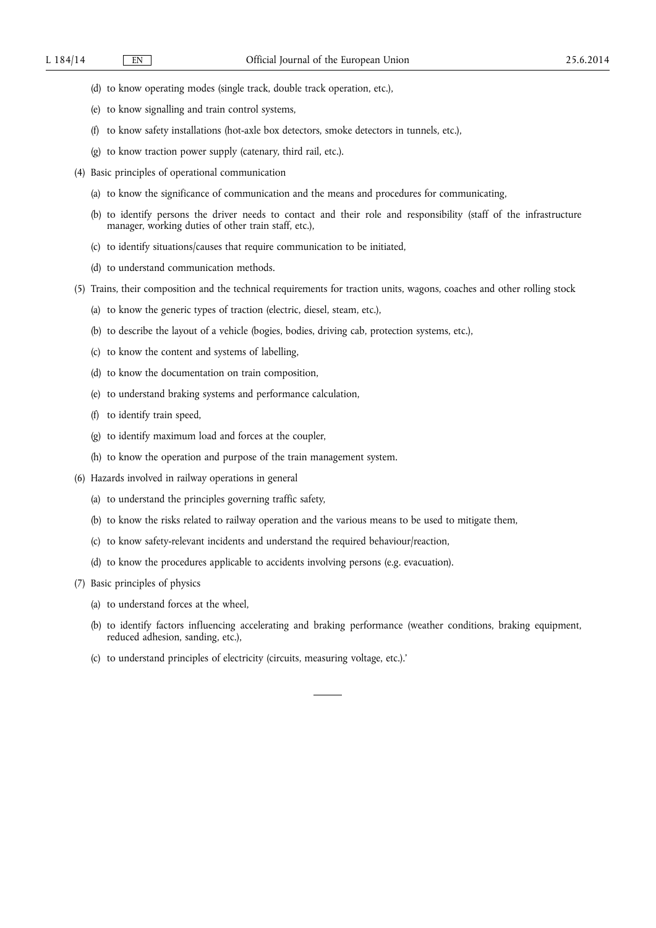- (d) to know operating modes (single track, double track operation, etc.),
- (e) to know signalling and train control systems,
- (f) to know safety installations (hot-axle box detectors, smoke detectors in tunnels, etc.),
- (g) to know traction power supply (catenary, third rail, etc.).
- (4) Basic principles of operational communication
	- (a) to know the significance of communication and the means and procedures for communicating,
	- (b) to identify persons the driver needs to contact and their role and responsibility (staff of the infrastructure manager, working duties of other train staff, etc.),
	- (c) to identify situations/causes that require communication to be initiated,
	- (d) to understand communication methods.
- (5) Trains, their composition and the technical requirements for traction units, wagons, coaches and other rolling stock
	- (a) to know the generic types of traction (electric, diesel, steam, etc.),
	- (b) to describe the layout of a vehicle (bogies, bodies, driving cab, protection systems, etc.),
	- (c) to know the content and systems of labelling,
	- (d) to know the documentation on train composition,
	- (e) to understand braking systems and performance calculation,
	- (f) to identify train speed,
	- (g) to identify maximum load and forces at the coupler,
	- (h) to know the operation and purpose of the train management system.
- (6) Hazards involved in railway operations in general
	- (a) to understand the principles governing traffic safety,
	- (b) to know the risks related to railway operation and the various means to be used to mitigate them,
	- (c) to know safety-relevant incidents and understand the required behaviour/reaction,
	- (d) to know the procedures applicable to accidents involving persons (e.g. evacuation).
- (7) Basic principles of physics
	- (a) to understand forces at the wheel,
	- (b) to identify factors influencing accelerating and braking performance (weather conditions, braking equipment, reduced adhesion, sanding, etc.),
	- (c) to understand principles of electricity (circuits, measuring voltage, etc.).'